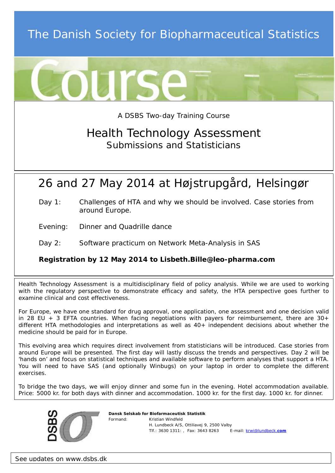# The Danish Society for Biopharmaceutical Statistics



#### A DSBS Two-day Training Course

## Health Technology Assessment Submissions and Statisticians

## 26 and 27 May 2014 at Højstrupgård, Helsingør

- Day 1: Challenges of HTA and why we should be involved. Case stories from around Europe.
- Evening: Dinner and Quadrille dance

#### Day 2: Software practicum on Network Meta-Analysis in SAS

#### **Registration by 12 May 2014 to Lisbeth.Bille@leo-pharma.com**

Health Technology Assessment is a multidisciplinary field of policy analysis. While we are used to working with the regulatory perspective to demonstrate efficacy and safety, the HTA perspective goes further to examine clinical and cost effectiveness.

For Europe, we have one standard for drug approval, one application, one assessment and one decision valid in 28 EU  $+$  3 EFTA countries. When facing negotiations with payers for reimbursement, there are  $30+$ different HTA methodologies and interpretations as well as 40+ independent decisions about whether the medicine should be paid for in Europe.

This evolving area which requires direct involvement from statisticians will be introduced. Case stories from around Europe will be presented. The first day will lastly discuss the trends and perspectives. Day 2 will be 'hands on' and focus on statistical techniques and available software to perform analyses that support a HTA. You will need to have SAS (and optionally Winbugs) on your laptop in order to complete the different exercises.

To bridge the two days, we will enjoy dinner and some fun in the evening. Hotel accommodation available. Price: 5000 kr. for both days with dinner and accommodation. 1000 kr. for the first day. 1000 kr. for dinner.



*Dansk Selskab for Biofarmaceutisk Statistik* • Formand: Kristian Windfeld • H. Lundbeck A/S, Ottiliavej 9, 2500 Valby • Tlf.: 3630 1311: , Fax: 3643 8263 E-mail: [krwi@lundbeck.](mailto:krwi@lundbeck.com)**com**

*See updates on www.dsbs.dk*